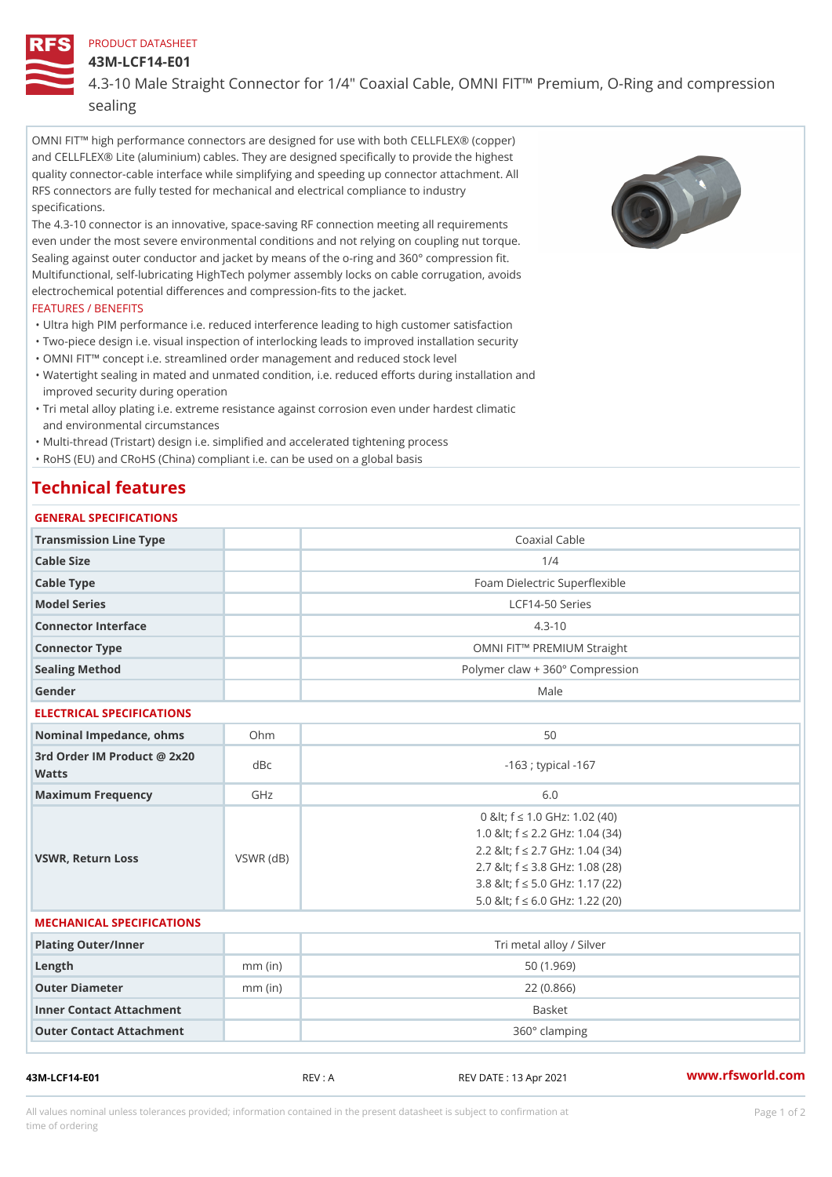#### PRODUCT DATASHEET

43M-LCF14-E01

## 4.3-10 Male Straight Connector for 1/4" Coaxial Cable, OMNI FIT!" Pren sealing

OMNI FIT!" high performance connectors are designed for use with both CELLFLEX® (copper) and CELLFLEX® Lite (aluminium) cables. They are designed specifically to provide the highest quality connector-cable interface while simplifying and speeding up connector attachment. All RFS connectors are fully tested for mechanical and electrical compliance to industry specifications.

The 4.3-10 connector is an innovative, space-saving RF connection meeting all requirements even under the most severe environmental conditions and not relying on coupling nut torque. Sealing against outer conductor and jacket by means of the o-ring and 360° compression fit. Multifunctional, self-lubricating HighTech polymer assembly locks on cable corrugation, avoids electrochemical potential differences and compression-fits to the jacket.

#### FEATURES / BENEFITS

- "Ultra high PIM performance i.e. reduced interference leading to high customer satisfaction "Two-piece design i.e. visual inspection of interlocking leads to improved installation security
- "OMNI FIT!" concept i.e. streamlined order management and reduced stock level
- Watertight sealing in mated and unmated condition, i.e. reduced efforts during installation and " improved security during operation
- Tri metal alloy plating i.e. extreme resistance against corrosion even under hardest climatic " and environmental circumstances

"Multi-thread (Tristart) design i.e. simplified and accelerated tightening process

"RoHS (EU) and CRoHS (China) compliant i.e. can be used on a global basis

# Technical features

# GENERAL SPECIFICATIONS Transmission Line Type and the Coaxial Cable Cable Size 1/4 Cable Type **Foam Dielectric Superflexible** Model Series LCF14-50 Series Connector Interface 4.3-10 Connector Type OMNI FIT!" PREMIUM Straight Sealing Method Polymer claw + 360° Compression Gender Male ELECTRICAL SPECIFICATIONS Nominal Impedance, ohins Ohm  $50$ 3rd Order IM Product @ 2x20<br>dBc Watts  $-163$  ; typical  $-167$ Maximum Frequency GHz GHz 6.0 VSWR, Return Loss VSWR (dB) 0 & It; f "d 1.0 G H z: 1.02 (40) 1.0 < f "d 2.2 GHz: 1.04 (34) 2.2 < f "d 2.7 GHz: 1.04 (34) 2.7 < f "d 3.8 GHz: 1.08 (28) 3.8 < f "d 5.0 GHz: 1.17 (22) 5.0 < f "d 6.0 GHz: 1.22 (20) MECHANICAL SPECIFICATIONS Plating Outer/Inner Network and Trimetal alloy / Silver Length mm (in) 50 (1.969) Outer Diameter mm (in) 22 (0.866) Inner Contact Attachment Basket Outer Contact Attachment 360° clamping

43M-LCF14-E01 REV : A REV DATE : 13 Apr 2021 [www.](https://www.rfsworld.com)rfsworld.com